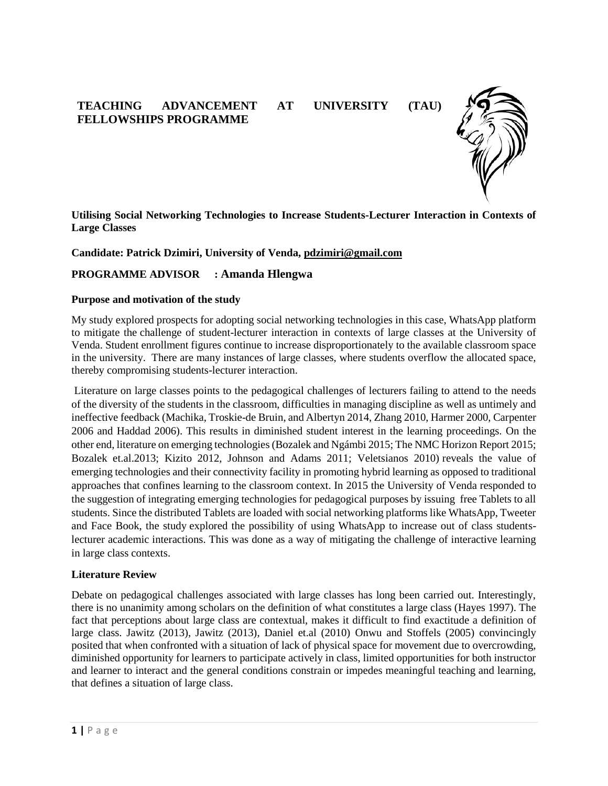# **TEACHING ADVANCEMENT AT UNIVERSITY (TAU) FELLOWSHIPS PROGRAMME**



**Utilising Social Networking Technologies to Increase Students-Lecturer Interaction in Contexts of Large Classes**

**Candidate: Patrick Dzimiri, University of Venda, pdzimiri@gmail.com**

# **PROGRAMME ADVISOR : Amanda Hlengwa**

#### **Purpose and motivation of the study**

My study explored prospects for adopting social networking technologies in this case, WhatsApp platform to mitigate the challenge of student-lecturer interaction in contexts of large classes at the University of Venda. Student enrollment figures continue to increase disproportionately to the available classroom space in the university. There are many instances of large classes, where students overflow the allocated space, thereby compromising students-lecturer interaction.

Literature on large classes points to the pedagogical challenges of lecturers failing to attend to the needs of the diversity of the students in the classroom, difficulties in managing discipline as well as untimely and ineffective feedback (Machika, Troskie-de Bruin, and Albertyn 2014, Zhang 2010, Harmer 2000, Carpenter 2006 and Haddad 2006). This results in diminished student interest in the learning proceedings. On the other end, literature on emerging technologies (Bozalek and Ngámbi 2015; The NMC Horizon Report 2015; Bozalek et.al.2013; Kizito 2012, Johnson and Adams 2011; Veletsianos 2010) reveals the value of emerging technologies and their connectivity facility in promoting hybrid learning as opposed to traditional approaches that confines learning to the classroom context. In 2015 the University of Venda responded to the suggestion of integrating emerging technologies for pedagogical purposes by issuing free Tablets to all students. Since the distributed Tablets are loaded with social networking platforms like WhatsApp, Tweeter and Face Book, the study explored the possibility of using WhatsApp to increase out of class studentslecturer academic interactions. This was done as a way of mitigating the challenge of interactive learning in large class contexts.

### **Literature Review**

Debate on pedagogical challenges associated with large classes has long been carried out. Interestingly, there is no unanimity among scholars on the definition of what constitutes a large class (Hayes 1997). The fact that perceptions about large class are contextual, makes it difficult to find exactitude a definition of large class. Jawitz (2013), Jawitz (2013), Daniel et.al (2010) Onwu and Stoffels (2005) convincingly posited that when confronted with a situation of lack of physical space for movement due to overcrowding, diminished opportunity for learners to participate actively in class, limited opportunities for both instructor and learner to interact and the general conditions constrain or impedes meaningful teaching and learning, that defines a situation of large class.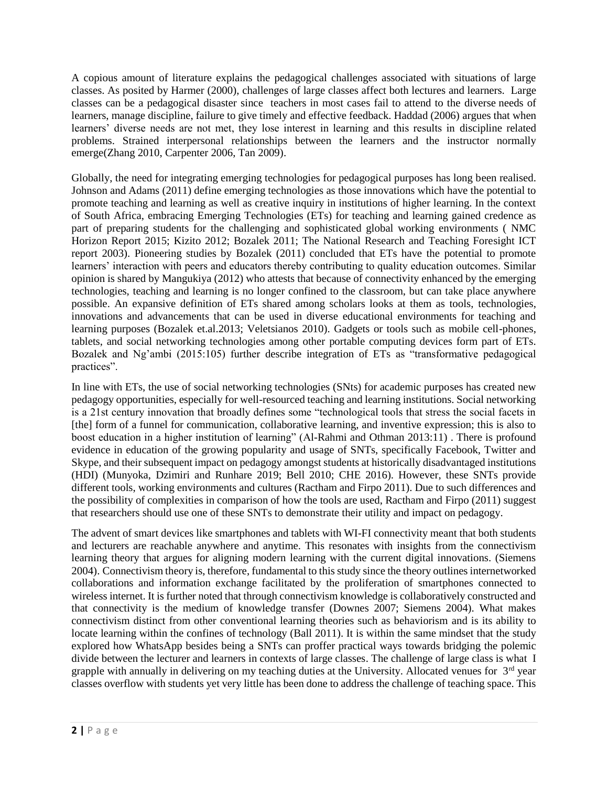A copious amount of literature explains the pedagogical challenges associated with situations of large classes. As posited by Harmer (2000), challenges of large classes affect both lectures and learners. Large classes can be a pedagogical disaster since teachers in most cases fail to attend to the diverse needs of learners, manage discipline, failure to give timely and effective feedback. Haddad (2006) argues that when learners' diverse needs are not met, they lose interest in learning and this results in discipline related problems. Strained interpersonal relationships between the learners and the instructor normally emerge(Zhang 2010, Carpenter 2006, Tan 2009).

Globally, the need for integrating emerging technologies for pedagogical purposes has long been realised. Johnson and Adams (2011) define emerging technologies as those innovations which have the potential to promote teaching and learning as well as creative inquiry in institutions of higher learning. In the context of South Africa, embracing Emerging Technologies (ETs) for teaching and learning gained credence as part of preparing students for the challenging and sophisticated global working environments ( NMC Horizon Report 2015; Kizito 2012; Bozalek 2011; The National Research and Teaching Foresight ICT report 2003). Pioneering studies by Bozalek (2011) concluded that ETs have the potential to promote learners' interaction with peers and educators thereby contributing to quality education outcomes. Similar opinion is shared by Mangukiya (2012) who attests that because of connectivity enhanced by the emerging technologies, teaching and learning is no longer confined to the classroom, but can take place anywhere possible. An expansive definition of ETs shared among scholars looks at them as tools, technologies, innovations and advancements that can be used in diverse educational environments for teaching and learning purposes (Bozalek et.al.2013; Veletsianos 2010). Gadgets or tools such as mobile cell-phones, tablets, and social networking technologies among other portable computing devices form part of ETs. Bozalek and Ng'ambi (2015:105) further describe integration of ETs as "transformative pedagogical practices".

In line with ETs, the use of social networking technologies (SNts) for academic purposes has created new pedagogy opportunities, especially for well-resourced teaching and learning institutions. Social networking is a 21st century innovation that broadly defines some "technological tools that stress the social facets in [the] form of a funnel for communication, collaborative learning, and inventive expression; this is also to boost education in a higher institution of learning" (Al-Rahmi and Othman 2013:11) . There is profound evidence in education of the growing popularity and usage of SNTs, specifically Facebook, Twitter and Skype, and their subsequent impact on pedagogy amongst students at historically disadvantaged institutions (HDI) (Munyoka, Dzimiri and Runhare 2019; Bell 2010; CHE 2016). However, these SNTs provide different tools, working environments and cultures (Ractham and Firpo 2011). Due to such differences and the possibility of complexities in comparison of how the tools are used, Ractham and Firpo (2011) suggest that researchers should use one of these SNTs to demonstrate their utility and impact on pedagogy.

The advent of smart devices like smartphones and tablets with WI-FI connectivity meant that both students and lecturers are reachable anywhere and anytime. This resonates with insights from the connectivism learning theory that argues for aligning modern learning with the current digital innovations. (Siemens 2004). Connectivism theory is, therefore, fundamental to this study since the theory outlines internetworked collaborations and information exchange facilitated by the proliferation of smartphones connected to wireless internet. It is further noted that through connectivism knowledge is collaboratively constructed and that connectivity is the medium of knowledge transfer (Downes 2007; Siemens 2004). What makes connectivism distinct from other conventional learning theories such as behaviorism and is its ability to locate learning within the confines of technology (Ball 2011). It is within the same mindset that the study explored how WhatsApp besides being a SNTs can proffer practical ways towards bridging the polemic divide between the lecturer and learners in contexts of large classes. The challenge of large class is what I grapple with annually in delivering on my teaching duties at the University. Allocated venues for 3<sup>rd</sup> year classes overflow with students yet very little has been done to address the challenge of teaching space. This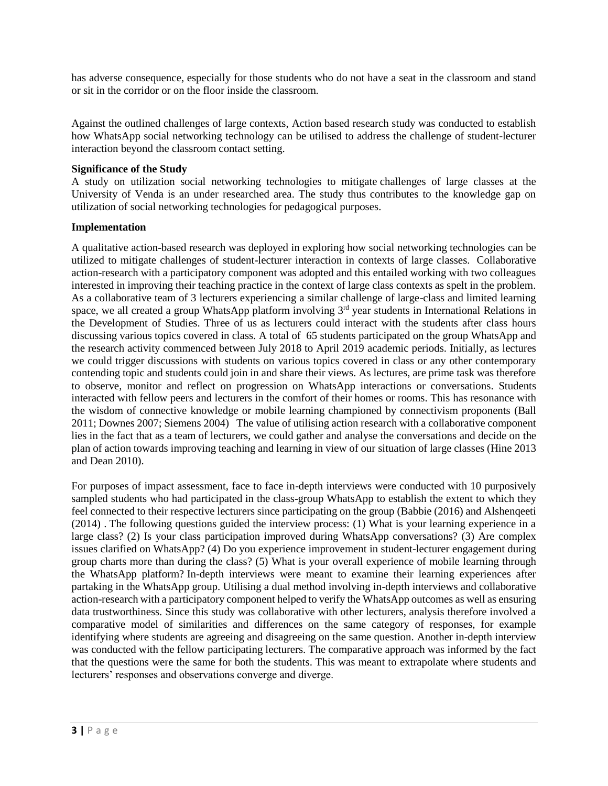has adverse consequence, especially for those students who do not have a seat in the classroom and stand or sit in the corridor or on the floor inside the classroom.

Against the outlined challenges of large contexts, Action based research study was conducted to establish how WhatsApp social networking technology can be utilised to address the challenge of student-lecturer interaction beyond the classroom contact setting.

## **Significance of the Study**

A study on utilization social networking technologies to mitigate challenges of large classes at the University of Venda is an under researched area. The study thus contributes to the knowledge gap on utilization of social networking technologies for pedagogical purposes.

## **Implementation**

A qualitative action-based research was deployed in exploring how social networking technologies can be utilized to mitigate challenges of student-lecturer interaction in contexts of large classes. Collaborative action-research with a participatory component was adopted and this entailed working with two colleagues interested in improving their teaching practice in the context of large class contexts as spelt in the problem. As a collaborative team of 3 lecturers experiencing a similar challenge of large-class and limited learning space, we all created a group WhatsApp platform involving 3<sup>rd</sup> year students in International Relations in the Development of Studies. Three of us as lecturers could interact with the students after class hours discussing various topics covered in class. A total of 65 students participated on the group WhatsApp and the research activity commenced between July 2018 to April 2019 academic periods. Initially, as lectures we could trigger discussions with students on various topics covered in class or any other contemporary contending topic and students could join in and share their views. As lectures, are prime task was therefore to observe, monitor and reflect on progression on WhatsApp interactions or conversations. Students interacted with fellow peers and lecturers in the comfort of their homes or rooms. This has resonance with the wisdom of connective knowledge or mobile learning championed by connectivism proponents (Ball 2011; Downes 2007; Siemens 2004) The value of utilising action research with a collaborative component lies in the fact that as a team of lecturers, we could gather and analyse the conversations and decide on the plan of action towards improving teaching and learning in view of our situation of large classes (Hine 2013 and Dean 2010).

For purposes of impact assessment, face to face in-depth interviews were conducted with 10 purposively sampled students who had participated in the class-group WhatsApp to establish the extent to which they feel connected to their respective lecturers since participating on the group (Babbie (2016) and Alshenqeeti (2014) . The following questions guided the interview process: (1) What is your learning experience in a large class? (2) Is your class participation improved during WhatsApp conversations? (3) Are complex issues clarified on WhatsApp? (4) Do you experience improvement in student-lecturer engagement during group charts more than during the class? (5) What is your overall experience of mobile learning through the WhatsApp platform? In-depth interviews were meant to examine their learning experiences after partaking in the WhatsApp group. Utilising a dual method involving in-depth interviews and collaborative action-research with a participatory component helped to verify the WhatsApp outcomes as well as ensuring data trustworthiness. Since this study was collaborative with other lecturers, analysis therefore involved a comparative model of similarities and differences on the same category of responses, for example identifying where students are agreeing and disagreeing on the same question. Another in-depth interview was conducted with the fellow participating lecturers. The comparative approach was informed by the fact that the questions were the same for both the students. This was meant to extrapolate where students and lecturers' responses and observations converge and diverge.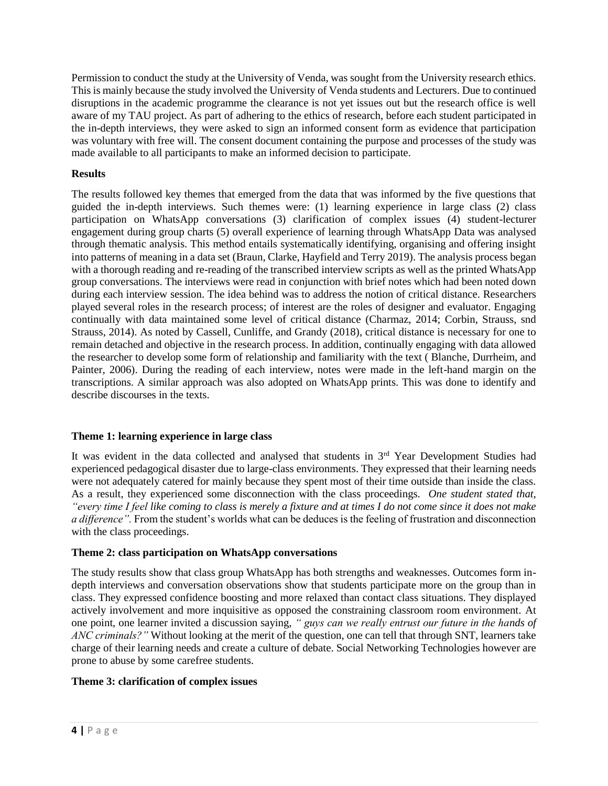Permission to conduct the study at the University of Venda, was sought from the University research ethics. This is mainly because the study involved the University of Venda students and Lecturers. Due to continued disruptions in the academic programme the clearance is not yet issues out but the research office is well aware of my TAU project. As part of adhering to the ethics of research, before each student participated in the in-depth interviews, they were asked to sign an informed consent form as evidence that participation was voluntary with free will. The consent document containing the purpose and processes of the study was made available to all participants to make an informed decision to participate.

# **Results**

The results followed key themes that emerged from the data that was informed by the five questions that guided the in-depth interviews. Such themes were: (1) learning experience in large class (2) class participation on WhatsApp conversations (3) clarification of complex issues (4) student-lecturer engagement during group charts (5) overall experience of learning through WhatsApp Data was analysed through thematic analysis. This method entails systematically identifying, organising and offering insight into patterns of meaning in a data set (Braun, Clarke, Hayfield and Terry 2019). The analysis process began with a thorough reading and re-reading of the transcribed interview scripts as well as the printed WhatsApp group conversations. The interviews were read in conjunction with brief notes which had been noted down during each interview session. The idea behind was to address the notion of critical distance. Researchers played several roles in the research process; of interest are the roles of designer and evaluator. Engaging continually with data maintained some level of critical distance (Charmaz, 2014; Corbin, Strauss, snd Strauss, 2014). As noted by Cassell, Cunliffe, and Grandy (2018), critical distance is necessary for one to remain detached and objective in the research process. In addition, continually engaging with data allowed the researcher to develop some form of relationship and familiarity with the text ( Blanche, Durrheim, and Painter, 2006). During the reading of each interview, notes were made in the left-hand margin on the transcriptions. A similar approach was also adopted on WhatsApp prints. This was done to identify and describe discourses in the texts.

# **Theme 1: learning experience in large class**

It was evident in the data collected and analysed that students in 3<sup>rd</sup> Year Development Studies had experienced pedagogical disaster due to large-class environments. They expressed that their learning needs were not adequately catered for mainly because they spent most of their time outside than inside the class. As a result, they experienced some disconnection with the class proceedings. *One student stated that, "every time I feel like coming to class is merely a fixture and at times I do not come since it does not make a difference".* From the student's worlds what can be deduces is the feeling of frustration and disconnection with the class proceedings.

# **Theme 2: class participation on WhatsApp conversations**

The study results show that class group WhatsApp has both strengths and weaknesses. Outcomes form indepth interviews and conversation observations show that students participate more on the group than in class. They expressed confidence boosting and more relaxed than contact class situations. They displayed actively involvement and more inquisitive as opposed the constraining classroom room environment. At one point, one learner invited a discussion saying, *" guys can we really entrust our future in the hands of ANC criminals?"* Without looking at the merit of the question, one can tell that through SNT, learners take charge of their learning needs and create a culture of debate. Social Networking Technologies however are prone to abuse by some carefree students.

### **Theme 3: clarification of complex issues**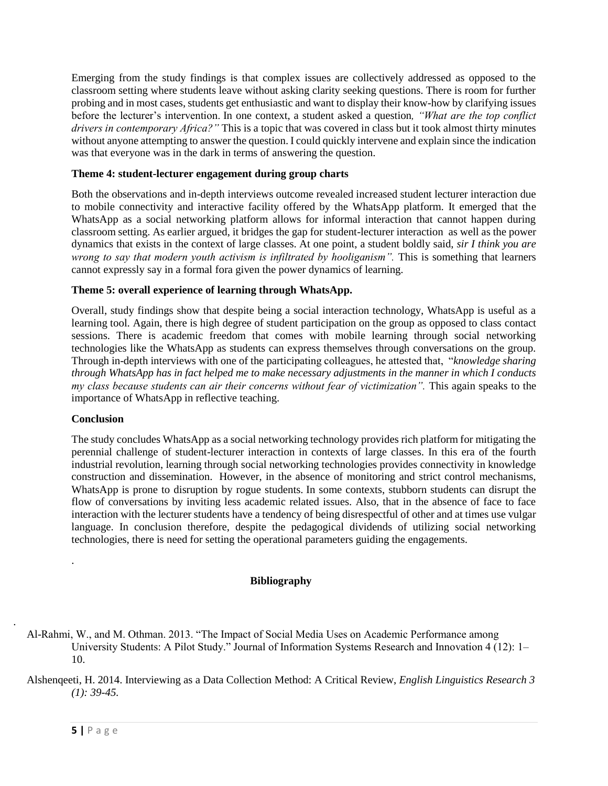Emerging from the study findings is that complex issues are collectively addressed as opposed to the classroom setting where students leave without asking clarity seeking questions. There is room for further probing and in most cases, students get enthusiastic and want to display their know-how by clarifying issues before the lecturer's intervention. In one context, a student asked a question, "What are the top conflict" *drivers in contemporary Africa?"* This is a topic that was covered in class but it took almost thirty minutes without anyone attempting to answer the question. I could quickly intervene and explain since the indication was that everyone was in the dark in terms of answering the question.

## **Theme 4: student-lecturer engagement during group charts**

Both the observations and in-depth interviews outcome revealed increased student lecturer interaction due to mobile connectivity and interactive facility offered by the WhatsApp platform. It emerged that the WhatsApp as a social networking platform allows for informal interaction that cannot happen during classroom setting. As earlier argued, it bridges the gap for student-lecturer interaction as well as the power dynamics that exists in the context of large classes. At one point, a student boldly said, *sir I think you are wrong to say that modern youth activism is infiltrated by hooliganism".* This is something that learners cannot expressly say in a formal fora given the power dynamics of learning.

## **Theme 5: overall experience of learning through WhatsApp.**

Overall, study findings show that despite being a social interaction technology, WhatsApp is useful as a learning tool. Again, there is high degree of student participation on the group as opposed to class contact sessions. There is academic freedom that comes with mobile learning through social networking technologies like the WhatsApp as students can express themselves through conversations on the group. Through in-depth interviews with one of the participating colleagues, he attested that, "*knowledge sharing through WhatsApp has in fact helped me to make necessary adjustments in the manner in which I conducts my class because students can air their concerns without fear of victimization".* This again speaks to the importance of WhatsApp in reflective teaching.

### **Conclusion**

.

.

The study concludes WhatsApp as a social networking technology provides rich platform for mitigating the perennial challenge of student-lecturer interaction in contexts of large classes. In this era of the fourth industrial revolution, learning through social networking technologies provides connectivity in knowledge construction and dissemination. However, in the absence of monitoring and strict control mechanisms, WhatsApp is prone to disruption by rogue students. In some contexts, stubborn students can disrupt the flow of conversations by inviting less academic related issues. Also, that in the absence of face to face interaction with the lecturer students have a tendency of being disrespectful of other and at times use vulgar language. In conclusion therefore, despite the pedagogical dividends of utilizing social networking technologies, there is need for setting the operational parameters guiding the engagements.

### **Bibliography**

Al-Rahmi, W., and M. Othman. 2013. "The Impact of Social Media Uses on Academic Performance among University Students: A Pilot Study." Journal of Information Systems Research and Innovation 4 (12): 1– 10.

Alshenqeeti, H. 2014. Interviewing as a Data Collection Method: A Critical Review, *English Linguistics Research 3 (1): 39-45.*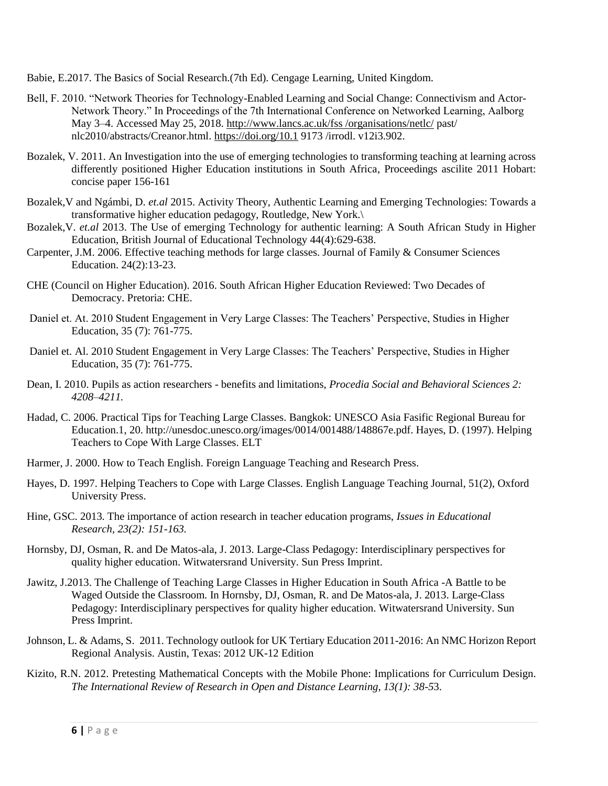Babie, E.2017. The Basics of Social Research.(7th Ed). Cengage Learning, United Kingdom.

- Bell, F. 2010. "Network Theories for Technology-Enabled Learning and Social Change: Connectivism and Actor-Network Theory." In Proceedings of the 7th International Conference on Networked Learning, Aalborg May 3–4. Accessed May 25, 2018. [http://www.lancs.ac.uk/fss /organisations/netlc/](http://www.lancs.ac.uk/fss%20/organisations/netlc/) past/ nlc2010/abstracts/Creanor.html.<https://doi.org/10.1> 9173 /irrodl. v12i3.902.
- Bozalek, V. 2011. An Investigation into the use of emerging technologies to transforming teaching at learning across differently positioned Higher Education institutions in South Africa, Proceedings ascilite 2011 Hobart: concise paper 156-161
- Bozalek,V and Ngámbi, D. *et.al* 2015. Activity Theory, Authentic Learning and Emerging Technologies: Towards a transformative higher education pedagogy, Routledge, New York.\
- Bozalek,V. *et.al* 2013. The Use of emerging Technology for authentic learning: A South African Study in Higher Education, British Journal of Educational Technology 44(4):629-638.
- Carpenter, J.M. 2006. Effective teaching methods for large classes. Journal of Family & Consumer Sciences Education. 24(2):13-23.
- CHE (Council on Higher Education). 2016. South African Higher Education Reviewed: Two Decades of Democracy. Pretoria: CHE.
- Daniel et. At. 2010 Student Engagement in Very Large Classes: The Teachers' Perspective, Studies in Higher Education, 35 (7): 761-775.
- Daniel et. Al. 2010 Student Engagement in Very Large Classes: The Teachers' Perspective, Studies in Higher Education, 35 (7): 761-775.
- Dean, I. 2010. Pupils as action researchers benefits and limitations, *Procedia Social and Behavioral Sciences 2: 4208–4211.*
- Hadad, C. 2006. Practical Tips for Teaching Large Classes. Bangkok: UNESCO Asia Fasific Regional Bureau for Education.1, 20. http://unesdoc.unesco.org/images/0014/001488/148867e.pdf. Hayes, D. (1997). Helping Teachers to Cope With Large Classes. ELT
- Harmer, J. 2000. How to Teach English. Foreign Language Teaching and Research Press.
- Hayes, D. 1997. Helping Teachers to Cope with Large Classes. English Language Teaching Journal, 51(2), Oxford University Press.
- Hine, GSC. 2013. The importance of action research in teacher education programs, *Issues in Educational Research, 23(2): 151-163.*
- Hornsby, DJ, Osman, R. and De Matos-ala, J. 2013. Large-Class Pedagogy: Interdisciplinary perspectives for quality higher education. Witwatersrand University. Sun Press Imprint.
- Jawitz, J.2013. The Challenge of Teaching Large Classes in Higher Education in South Africa -A Battle to be Waged Outside the Classroom. In Hornsby, DJ, Osman, R. and De Matos-ala, J. 2013. Large-Class Pedagogy: Interdisciplinary perspectives for quality higher education. Witwatersrand University. Sun Press Imprint.
- Johnson, L. & Adams, S. 2011. Technology outlook for UK Tertiary Education 2011-2016: An NMC Horizon Report Regional Analysis. Austin, Texas: 2012 UK-12 Edition
- Kizito, R.N. 2012. Pretesting Mathematical Concepts with the Mobile Phone: Implications for Curriculum Design. *The International Review of Research in Open and Distance Learning, 13(1): 38-5*3.